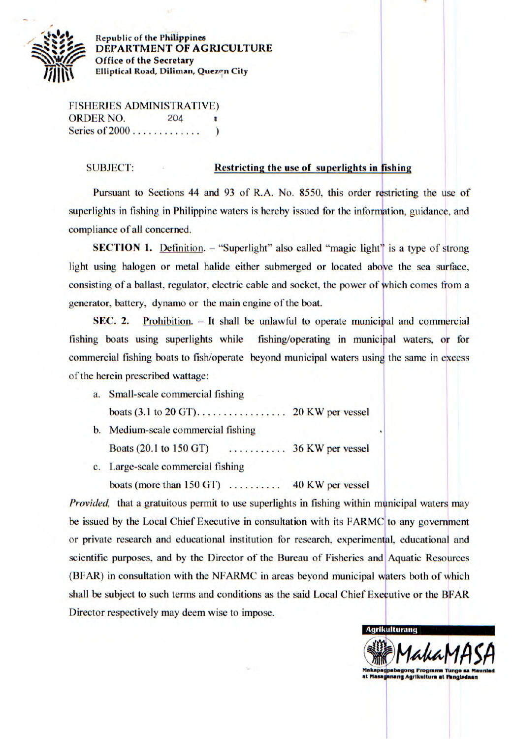

**Republic of the Philippines DEPARTMENT OF AGRICULTURE Office** of **the Secretary Elliptical Road, Diliman, Quezen City** 

FISHERIES ADMINISTRATIVE) ORDER NO. 204 Series of 2000 . . . . . . . . . . . . . . . . )

## **SUBJECT: Restricting the use of superlights in fishing**

Pursuant to Sections 44 and 93 of R.A. No. 8550, this order restricting the use of superlights in fishing in Philippine waters is hereby issued for the information, guidance, and compliance of all concerned.

**SECTION 1.** Definition. – "Superlight" also called "magic light" is a type of strong light using halogen or metal halide either submerged or located above the sea surface, consisting of a ballast, regulator, electric cable and socket, the power of which comes from a generator, battery, dynamo or the main engine of the boat.

SEC. 2. Prohibition. - **It shall** be unlawful to operate municipal and commercial fishing boats using superlights while fishing/operating in municipal waters, or for commercial fishing boats to fish/operate beyond municipal waters using the same in excess of the herein prescribed wattage:

- a. Small-scale commercial fishing boats (3.1 to 20 GT).................20 KW per vessel
- b. Medium-scale commercial fishing Boats (20.1 to *150* GT) ...........36 KW per vessel
- c. Large-scale commercial fishing

boats (more than 150 GT) ..........40 KW per vessel

*Provided*, that a gratuitous permit to use superlights in fishing within municipal waters may be issued by the Local Chief Executive in consultation with its FARMC to any government or private research and educational institution for research, experimental, educational and scientific purposes, and by the Director of the Bureau of Fisheries and Aquatic Resources (BFAR) in consultation with the NFARMC in areas beyond municipal waters both of which shall be subject to such terms and conditions as the said Local Chief Executive or the BFAR Director respectively may deem wise to impose. Set<br>
hin municipal waters may<br>
RMC to any government<br>
rimental, educational and<br>
s and Aquatic Resources<br>
ipal waters both of which<br>
of Executive or the BFAR<br>
Agrikultural MANAMAS

**Makapagpabagong Programa Tungo sa Mauniad** at Masaganang Agrikuitura at Fangisdaar